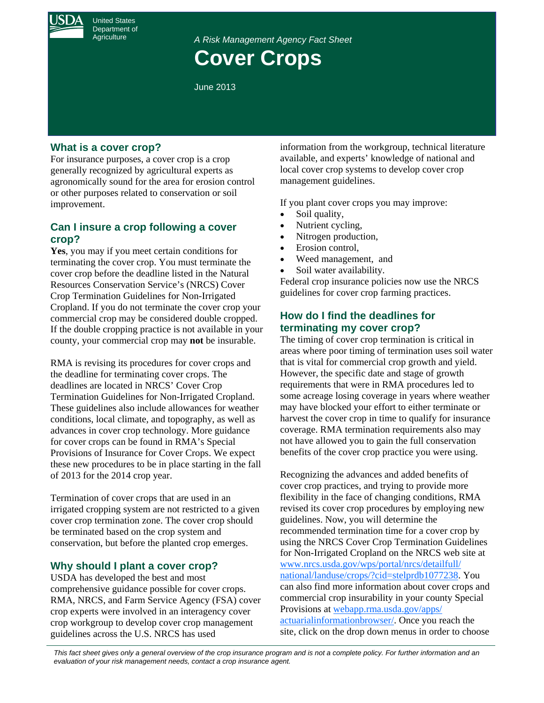United States Department of

Agriculture *A Risk Management Agency Fact Sheet* 

# **Cover Crops**

June 2013

# **What is a cover crop?**

For insurance purposes, a cover crop is a crop generally recognized by agricultural experts as agronomically sound for the area for erosion control or other purposes related to conservation or soil improvement.

# **Can I insure a crop following a cover crop?**

**Yes**, you may if you meet certain conditions for terminating the cover crop. You must terminate the cover crop before the deadline listed in the Natural Resources Conservation Service's (NRCS) Cover Crop Termination Guidelines for Non-Irrigated Cropland. If you do not terminate the cover crop your commercial crop may be considered double cropped. If the double cropping practice is not available in your county, your commercial crop may **not** be insurable.

RMA is revising its procedures for cover crops and the deadline for terminating cover crops. The deadlines are located in NRCS' Cover Crop Termination Guidelines for Non-Irrigated Cropland. These guidelines also include allowances for weather conditions, local climate, and topography, as well as advances in cover crop technology. More guidance for cover crops can be found in RMA's Special Provisions of Insurance for Cover Crops. We expect these new procedures to be in place starting in the fall of 2013 for the 2014 crop year.

Termination of cover crops that are used in an irrigated cropping system are not restricted to a given cover crop termination zone. The cover crop should be terminated based on the crop system and conservation, but before the planted crop emerges.

## **Why should I plant a cover crop?**

USDA has developed the best and most comprehensive guidance possible for cover crops. RMA, NRCS, and Farm Service Agency (FSA) cover crop experts were involved in an interagency cover crop workgroup to develop cover crop management guidelines across the U.S. NRCS has used

information from the workgroup, technical literature available, and experts' knowledge of national and local cover crop systems to develop cover crop management guidelines.

If you plant cover crops you may improve:

- Soil quality,
- Nutrient cycling,
- Nitrogen production,
- Erosion control,
- Weed management, and
- Soil water availability.

Federal crop insurance policies now use the NRCS guidelines for cover crop farming practices.

# **How do I find the deadlines for terminating my cover crop?**

The timing of cover crop termination is critical in areas where poor timing of termination uses soil water that is vital for commercial crop growth and yield. However, the specific date and stage of growth requirements that were in RMA procedures led to some acreage losing coverage in years where weather may have blocked your effort to either terminate or harvest the cover crop in time to qualify for insurance coverage. RMA termination requirements also may not have allowed you to gain the full conservation benefits of the cover crop practice you were using.

Recognizing the advances and added benefits of cover crop practices, and trying to provide more flexibility in the face of changing conditions, RMA revised its cover crop procedures by employing new guidelines. Now, you will determine the recommended termination time for a cover crop by using the NRCS Cover Crop Termination Guidelines for Non-Irrigated Cropland on the NRCS web site at www.nrcs.usda.gov/wps/portal/nrcs/detailfull/ [national/landuse/crops/?cid=stelprdb1077238. Y](http://www.nrcs.usda.gov/wps/portal/nrcs/detailfull/national/landuse/crops/?cid=stelprdb1077238)ou can also find more information about cover crops and commercial crop insurability in your county Special Provisions at webapp.rma.usda.gov/apps/ [actuarialinformationbrowser/. Once you reac](http://webapp.rma.usda.gov/apps/actuarialinformationbrowser/)h the site, click on the drop down menus in order to choose

*This fact sheet gives only a general overview of the crop insurance program and is not a complete policy. For further information and an evaluation of your risk management needs, contact a crop insurance agent.*